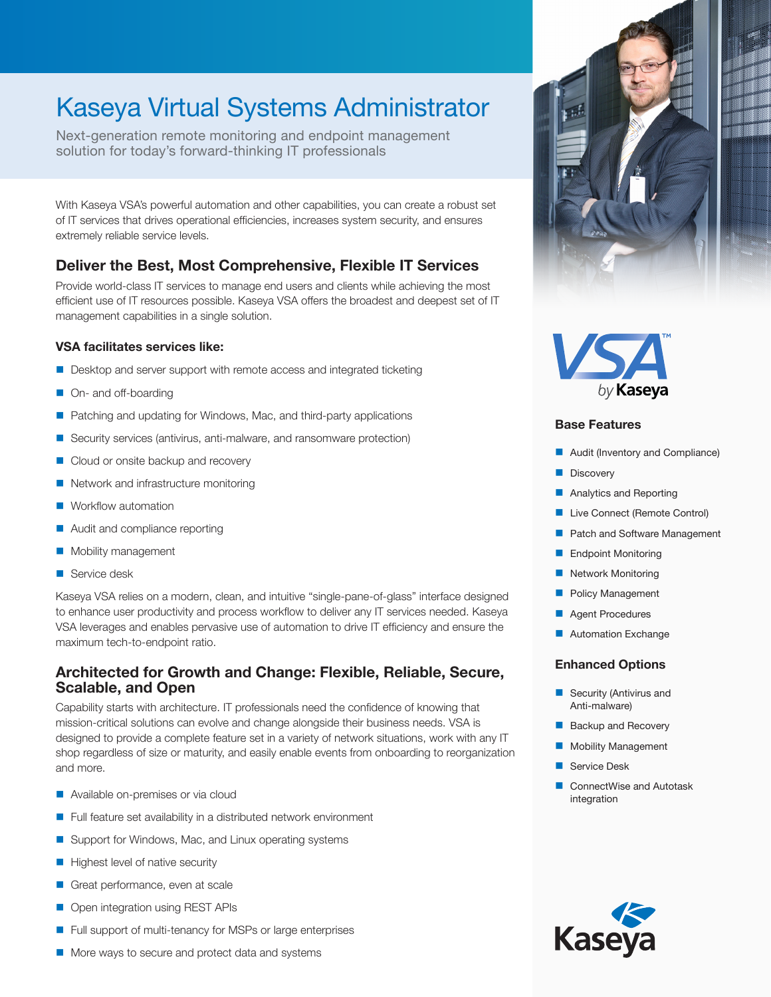# Kaseya Virtual Systems Administrator

Next-generation remote monitoring and endpoint management solution for today's forward-thinking IT professionals

With Kaseya VSA's powerful automation and other capabilities, you can create a robust set of IT services that drives operational efficiencies, increases system security, and ensures extremely reliable service levels.

## **Deliver the Best, Most Comprehensive, Flexible IT Services**

Provide world-class IT services to manage end users and clients while achieving the most efficient use of IT resources possible. Kaseya VSA offers the broadest and deepest set of IT management capabilities in a single solution.

### **VSA facilitates services like:**

- Desktop and server support with remote access and integrated ticketing
- On- and off-boarding
- Patching and updating for Windows, Mac, and third-party applications
- Security services (antivirus, anti-malware, and ransomware protection)
- Cloud or onsite backup and recovery
- Network and infrastructure monitoring
- Workflow automation
- **Audit and compliance reporting**
- **Mobility management**
- Service desk

Kaseya VSA relies on a modern, clean, and intuitive "single-pane-of-glass" interface designed to enhance user productivity and process workflow to deliver any IT services needed. Kaseya VSA leverages and enables pervasive use of automation to drive IT efficiency and ensure the maximum tech-to-endpoint ratio.

## **Architected for Growth and Change: Flexible, Reliable, Secure, Scalable, and Open**

Capability starts with architecture. IT professionals need the confidence of knowing that mission-critical solutions can evolve and change alongside their business needs. VSA is designed to provide a complete feature set in a variety of network situations, work with any IT shop regardless of size or maturity, and easily enable events from onboarding to reorganization and more.

- Available on-premises or via cloud
- Full feature set availability in a distributed network environment
- Support for Windows, Mac, and Linux operating systems
- Highest level of native security
- Great performance, even at scale
- Open integration using REST APIs
- Full support of multi-tenancy for MSPs or large enterprises





#### **Base Features**

- Audit (Inventory and Compliance)
- **Discovery**
- **Analytics and Reporting**
- **Live Connect (Remote Control)**
- **Patch and Software Management**
- **Endpoint Monitoring**
- **Network Monitoring**
- **Policy Management**
- **Agent Procedures**
- **Automation Exchange**

### **Enhanced Options**

- Security (Antivirus and Anti-malware)
- Backup and Recovery
- Mobility Management
- Service Desk
- ConnectWise and Autotask integration



More ways to secure and protect data and systems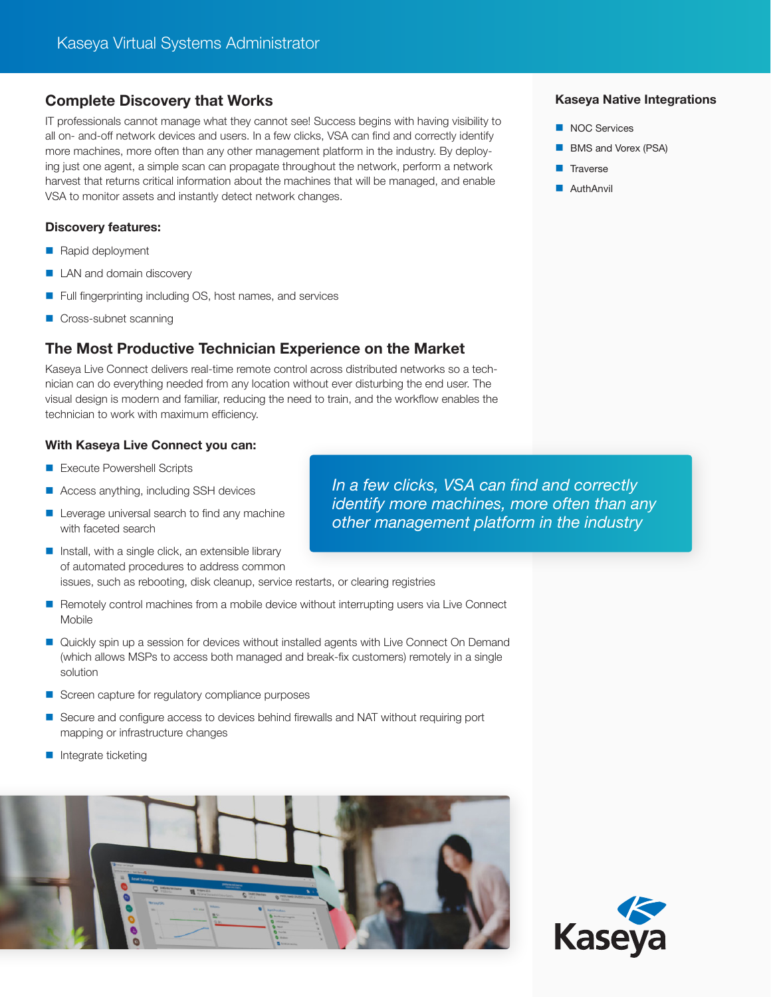## **Complete Discovery that Works**

IT professionals cannot manage what they cannot see! Success begins with having visibility to all on- and-off network devices and users. In a few clicks, VSA can find and correctly identify more machines, more often than any other management platform in the industry. By deploying just one agent, a simple scan can propagate throughout the network, perform a network harvest that returns critical information about the machines that will be managed, and enable VSA to monitor assets and instantly detect network changes.

### **Discovery features:**

- Rapid deployment
- **LAN** and domain discovery
- Full fingerprinting including OS, host names, and services
- Cross-subnet scanning

## **The Most Productive Technician Experience on the Market**

Kaseya Live Connect delivers real-time remote control across distributed networks so a technician can do everything needed from any location without ever disturbing the end user. The visual design is modern and familiar, reducing the need to train, and the workflow enables the technician to work with maximum efficiency.

### **With Kaseya Live Connect you can:**

- Execute Powershell Scripts
- Access anything, including SSH devices
- Leverage universal search to find any machine with faceted search
- $\blacksquare$  Install, with a single click, an extensible library of automated procedures to address common

issues, such as rebooting, disk cleanup, service restarts, or clearing registries

- Remotely control machines from a mobile device without interrupting users via Live Connect Mobile
- Quickly spin up a session for devices without installed agents with Live Connect On Demand (which allows MSPs to access both managed and break-fix customers) remotely in a single solution
- Screen capture for regulatory compliance purposes
- Secure and configure access to devices behind firewalls and NAT without requiring port mapping or infrastructure changes
- **Integrate ticketing**



#### **Kaseya Native Integrations**

- NOC Services
- **BMS** and Vorex (PSA)
- $\blacksquare$  Traverse
- **AuthAnvil**

*In a few clicks, VSA can find and correctly identify more machines, more often than any other management platform in the industry*

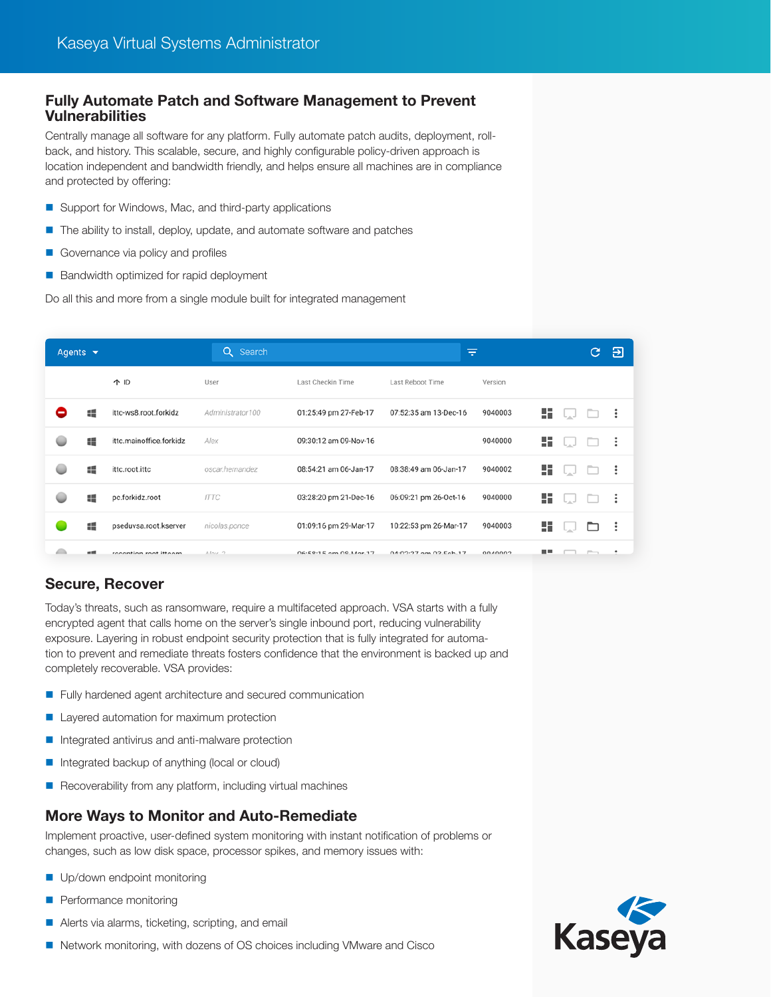## **Fully Automate Patch and Software Management to Prevent Vulnerabilities**

Centrally manage all software for any platform. Fully automate patch audits, deployment, rollback, and history. This scalable, secure, and highly configurable policy-driven approach is location independent and bandwidth friendly, and helps ensure all machines are in compliance and protected by offering:

- Support for Windows, Mac, and third-party applications
- $\blacksquare$  The ability to install, deploy, update, and automate software and patches
- Governance via policy and profiles
- Bandwidth optimized for rapid deployment

Do all this and more from a single module built for integrated management

| Agents $\blacktriangleright$ |    |                         | Q Search           |                       | ₹                         |         |     |     | C. | Э   |
|------------------------------|----|-------------------------|--------------------|-----------------------|---------------------------|---------|-----|-----|----|-----|
|                              |    | 个 ID                    | User               | Last Checkin Time     | Last Reboot Time          | Version |     |     |    |     |
|                              | 讄  | ittc-ws8.root.forkidz   | Administrator100   | 01:25:49 pm 27-Feb-17 | 07:52:35 am 13-Dec-16     | 9040003 | 55. | لما |    | - : |
|                              | 譚  | ittc.mainoffice.forkidz | Alex               | 09:30:12 am 09-Nov-16 |                           | 9040000 | 55, |     |    | ÷   |
|                              | 譚  | ittc.root.ittc          | oscar.hernandez    | 08:54:21 am 06-Jan-17 | 08:38:49 am 06-Jan-17     | 9040002 | 55, |     |    | ÷   |
|                              | 疆  | pc.forkidz.root         | <b>ITTC</b>        | 03:28:20 pm 21-Dec-16 | 06:09:21 pm 26-Oct-16     | 9040000 | 55, |     |    | ÷   |
|                              | 疅  | pseduvsa.root.kserver   | nicolas.ponce      | 01:09:16 pm 29-Mar-17 | 10:22:53 pm 26-Mar-17     | 9040003 | 55. |     |    | ÷   |
|                              | ■画 | reception root ittoom   | Alsov <sub>2</sub> | 06-59-15 am 09-Mar-17 | $04.02.27$ am $02.56h.17$ | CONNOO  | - - |     |    |     |

## **Secure, Recover**

Today's threats, such as ransomware, require a multifaceted approach. VSA starts with a fully encrypted agent that calls home on the server's single inbound port, reducing vulnerability exposure. Layering in robust endpoint security protection that is fully integrated for automation to prevent and remediate threats fosters confidence that the environment is backed up and completely recoverable. VSA provides:

- **Fully hardened agent architecture and secured communication**
- **Layered automation for maximum protection**
- Integrated antivirus and anti-malware protection
- Integrated backup of anything (local or cloud)
- $\blacksquare$  Recoverability from any platform, including virtual machines

## **More Ways to Monitor and Auto-Remediate**

Implement proactive, user-defined system monitoring with instant notification of problems or changes, such as low disk space, processor spikes, and memory issues with:

- Up/down endpoint monitoring
- **Performance monitoring**
- Alerts via alarms, ticketing, scripting, and email
- Network monitoring, with dozens of OS choices including VMware and Cisco